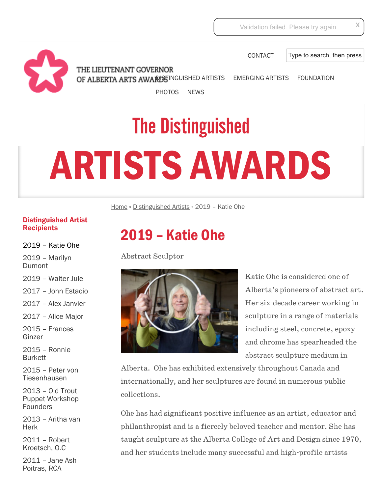[CONTACT](http://www.artsawards.ca/contact/)

Type to search, then press

THE LIEUTENANT GOVERNOR OF ALBERTA ARTS AWARISTINGUISHED ARTISTS [EMERGING ARTISTS](http://www.artsawards.ca/emerging-artists/ea-past-recipients/) [FOUNDATION](http://www.artsawards.ca/foundation/)

[PHOTOS](http://www.artsawards.ca/index.php/photos/2014-emerging-artist-awards/) [NEWS](http://www.artsawards.ca/category/uncategorized/)

## The Distinguished ARTISTS AWARDS

[Home](http://www.artsawards.ca/) » [Distinguished Artists](http://www.artsawards.ca/distinguished-artists/) » 2019 – Katie Ohe

## [Distinguished Artist](http://www.artsawards.ca/distinguished-artists/da-past-recipients/) **Recipients**

[2019 – Katie Ohe](http://www.artsawards.ca/distinguished-artists/2019-katie-ohe/)

[2019 – Marilyn](http://www.artsawards.ca/distinguished-artists/2019-marilyn-dumont/) Dumont

[2019 – Walter Jule](http://www.artsawards.ca/distinguished-artists/2019-walter-jule/)

[2017 – John Estacio](http://www.artsawards.ca/distinguished-artists/2017-john-estacio/)

[2017 – Alex Janvier](http://www.artsawards.ca/distinguished-artists/2017-alex-janvier/)

[2017 – Alice Major](http://www.artsawards.ca/distinguished-artists/2017-alice-major/)

[2015 – Frances](http://www.artsawards.ca/distinguished-artists/2015-frances-ginzer/) Ginzer

[2015 – Ronnie](http://www.artsawards.ca/distinguished-artists/2015-ronnie-burkett/) Burkett

[2015 – Peter von](http://www.artsawards.ca/distinguished-artists/2015-peter-von-tiesenhausen/) Tiesenhausen

2013 – Old Trout [Puppet Workshop](http://www.artsawards.ca/distinguished-artists/old-trout-puppet-workshop-founders/) Founders

[2013 – Aritha van](http://www.artsawards.ca/distinguished-artists/2013-aritha-van-herk/) Herk

[2011 – Robert](http://www.artsawards.ca/distinguished-artists/2011-robert-kroetsch-o-c/) Kroetsch, O.C

[2011 – Jane Ash](http://www.artsawards.ca/distinguished-artists/2011-jane-ash-poitras-rca/) Poitras, RCA

## 2019 – Katie Ohe

Abstract Sculptor



Katie Ohe is considered one of Alberta's pioneers of abstract art. Her six-decade career working in sculpture in a range of materials including steel, concrete, epoxy and chrome has spearheaded the abstract sculpture medium in

Alberta. Ohe has exhibited extensively throughout Canada and internationally, and her sculptures are found in numerous public collections.

Ohe has had significant positive influence as an artist, educator and philanthropist and is a fiercely beloved teacher and mentor. She has taught sculpture at the Alberta College of Art and Design since 1970, and her students include many successful and high-profile artists